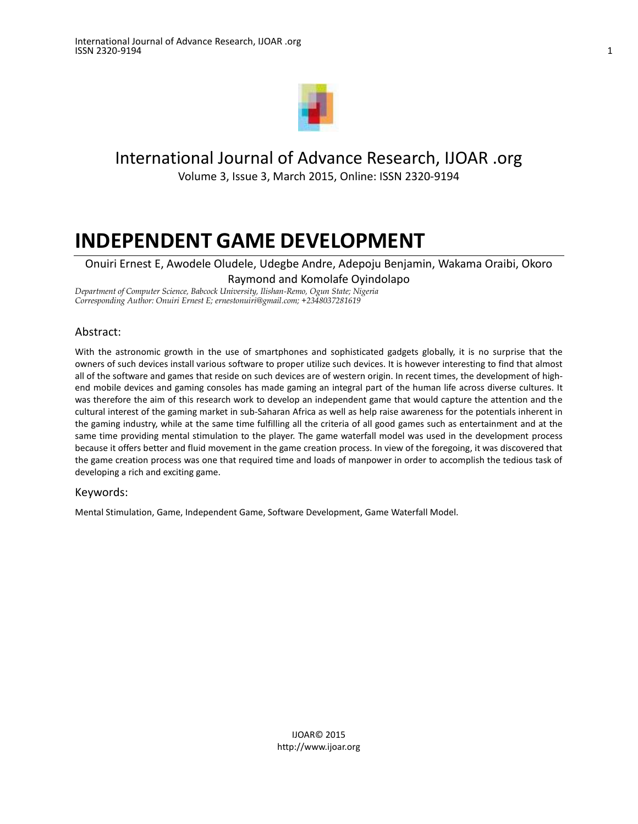

## International Journal of Advance Research, IJOAR .org

Volume 3, Issue 3, March 2015, Online: ISSN 2320-9194

# **INDEPENDENT GAME DEVELOPMENT**

Onuiri Ernest E, Awodele Oludele, Udegbe Andre, Adepoju Benjamin, Wakama Oraibi, Okoro Raymond and Komolafe Oyindolapo

*Department of Computer Science, Babcock University, Ilishan-Remo, Ogun State; Nigeria Corresponding Author: Onuiri Ernest E[; ernestonuiri@gmail.com;](mailto:ernestonuiri@gmail.com) +2348037281619*

## Abstract:

With the astronomic growth in the use of smartphones and sophisticated gadgets globally, it is no surprise that the owners of such devices install various software to proper utilize such devices. It is however interesting to find that almost all of the software and games that reside on such devices are of western origin. In recent times, the development of highend mobile devices and gaming consoles has made gaming an integral part of the human life across diverse cultures. It was therefore the aim of this research work to develop an independent game that would capture the attention and the cultural interest of the gaming market in sub-Saharan Africa as well as help raise awareness for the potentials inherent in the gaming industry, while at the same time fulfilling all the criteria of all good games such as entertainment and at the same time providing mental stimulation to the player. The game waterfall model was used in the development process because it offers better and fluid movement in the game creation process. In view of the foregoing, it was discovered that the game creation process was one that required time and loads of manpower in order to accomplish the tedious task of developing a rich and exciting game.

#### Keywords:

Mental Stimulation, Game, Independent Game, Software Development, Game Waterfall Model.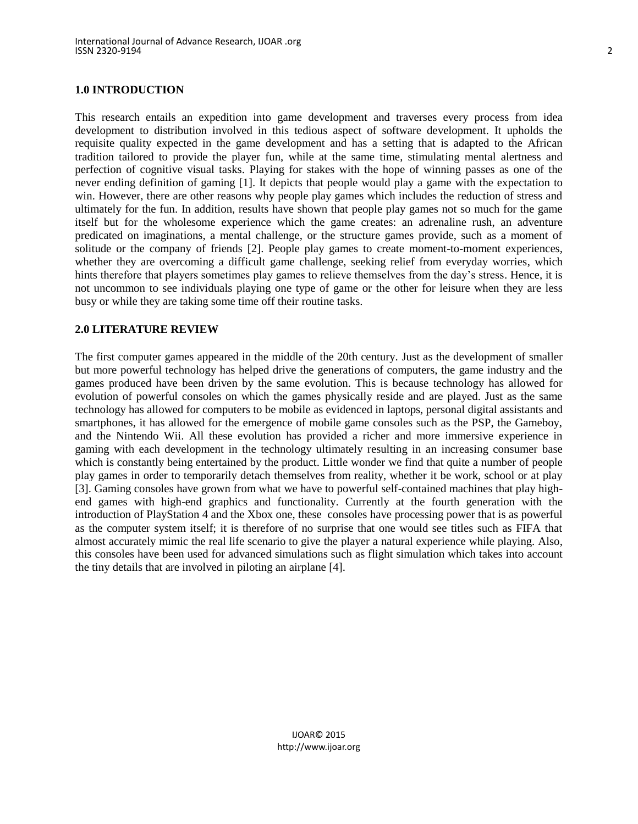#### **1.0 INTRODUCTION**

This research entails an expedition into game development and traverses every process from idea development to distribution involved in this tedious aspect of software development. It upholds the requisite quality expected in the game development and has a setting that is adapted to the African tradition tailored to provide the player fun, while at the same time, stimulating mental alertness and perfection of cognitive visual tasks. Playing for stakes with the hope of winning passes as one of the never ending definition of gaming [1]. It depicts that people would play a game with the expectation to win. However, there are other reasons why people play games which includes the reduction of stress and ultimately for the fun. In addition, results have shown that people play games not so much for the game itself but for the wholesome experience which the game creates: an adrenaline rush, an adventure predicated on imaginations, a mental challenge, or the structure games provide, such as a moment of solitude or the company of friends [2]. People play games to create moment-to-moment experiences, whether they are overcoming a difficult game challenge, seeking relief from everyday worries, which hints therefore that players sometimes play games to relieve themselves from the day's stress. Hence, it is not uncommon to see individuals playing one type of game or the other for leisure when they are less busy or while they are taking some time off their routine tasks.

#### **2.0 LITERATURE REVIEW**

The first computer games appeared in the middle of the 20th century. Just as the development of smaller but more powerful technology has helped drive the generations of computers, the game industry and the games produced have been driven by the same evolution. This is because technology has allowed for evolution of powerful consoles on which the games physically reside and are played. Just as the same technology has allowed for computers to be mobile as evidenced in laptops, personal digital assistants and smartphones, it has allowed for the emergence of mobile game consoles such as the PSP, the Gameboy, and the Nintendo Wii. All these evolution has provided a richer and more immersive experience in gaming with each development in the technology ultimately resulting in an increasing consumer base which is constantly being entertained by the product. Little wonder we find that quite a number of people play games in order to temporarily detach themselves from reality, whether it be work, school or at play [3]. Gaming consoles have grown from what we have to powerful self-contained machines that play highend games with high-end graphics and functionality. Currently at the fourth generation with the introduction of PlayStation 4 and the Xbox one, these consoles have processing power that is as powerful as the computer system itself; it is therefore of no surprise that one would see titles such as FIFA that almost accurately mimic the real life scenario to give the player a natural experience while playing. Also, this consoles have been used for advanced simulations such as flight simulation which takes into account the tiny details that are involved in piloting an airplane [4].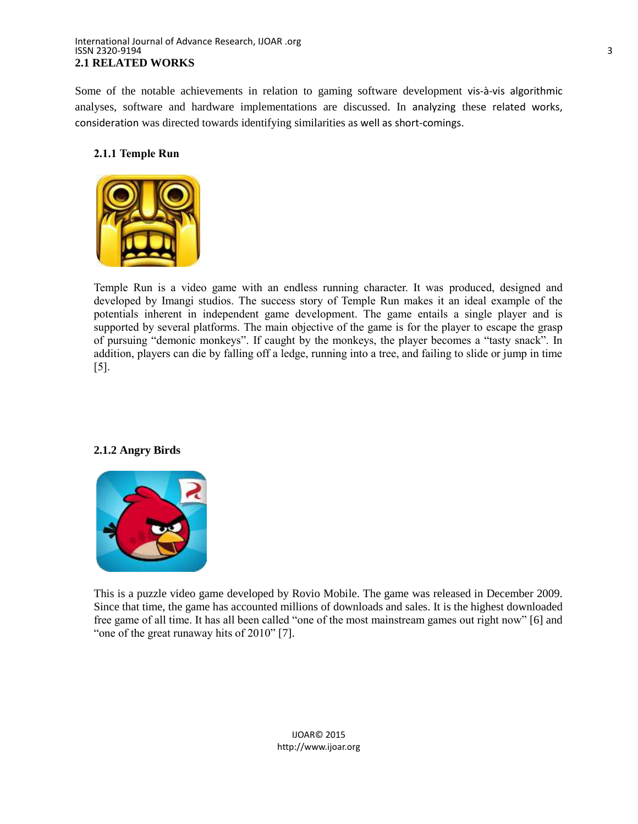#### International Journal of Advance Research, IJOAR .org ISSN 2320-9194 3 **2.1 RELATED WORKS**

Some of the notable achievements in relation to gaming software development vis-à-vis algorithmic analyses, software and hardware implementations are discussed. In analyzing these related works, consideration was directed towards identifying similarities as well as short-comings.

## **2.1.1 Temple Run**



Temple Run is a video game with an endless running character. It was produced, designed and developed by Imangi studios. The success story of Temple Run makes it an ideal example of the potentials inherent in independent game development. The game entails a single player and is supported by several platforms. The main objective of the game is for the player to escape the grasp of pursuing "demonic monkeys". If caught by the monkeys, the player becomes a "tasty snack". In addition, players can die by falling off a ledge, running into a tree, and failing to slide or jump in time [5].

## **2.1.2 Angry Birds**



This is a puzzle video game developed by Rovio Mobile. The game was released in December 2009. Since that time, the game has accounted millions of downloads and sales. It is the highest downloaded free game of all time. It has all been called "one of the most mainstream games out right now" [6] and "one of the great runaway hits of 2010" [7].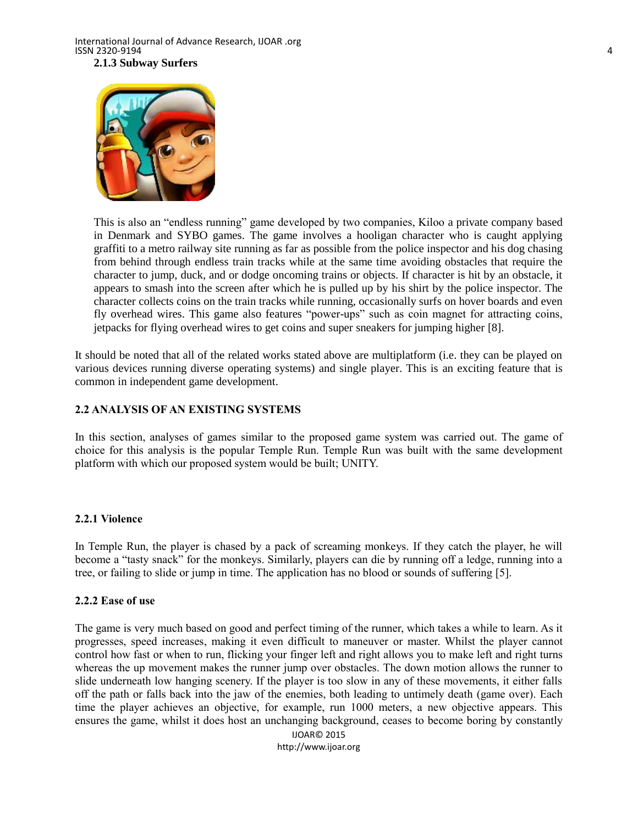

This is also an "endless running" game developed by two companies, Kiloo a private company based in Denmark and SYBO games. The game involves a hooligan character who is caught applying graffiti to a metro railway site running as far as possible from the police inspector and his dog chasing from behind through endless train tracks while at the same time avoiding obstacles that require the character to jump, duck, and or dodge oncoming trains or objects. If character is hit by an obstacle, it appears to smash into the screen after which he is pulled up by his shirt by the police inspector. The character collects coins on the train tracks while running, occasionally surfs on hover boards and even fly overhead wires. This game also features "power-ups" such as coin magnet for attracting coins, jetpacks for flying overhead wires to get coins and super sneakers for jumping higher [8].

It should be noted that all of the related works stated above are multiplatform (i.e. they can be played on various devices running diverse operating systems) and single player. This is an exciting feature that is common in independent game development.

#### **2.2 ANALYSIS OF AN EXISTING SYSTEMS**

In this section, analyses of games similar to the proposed game system was carried out. The game of choice for this analysis is the popular Temple Run. Temple Run was built with the same development platform with which our proposed system would be built; UNITY.

#### **2.2.1 Violence**

In Temple Run, the player is chased by a pack of screaming monkeys. If they catch the player, he will become a "tasty snack" for the monkeys. Similarly, players can die by running off a ledge, running into a tree, or failing to slide or jump in time. The application has no blood or sounds of suffering [5].

#### **2.2.2 Ease of use**

The game is very much based on good and perfect timing of the runner, which takes a while to learn. As it progresses, speed increases, making it even difficult to maneuver or master. Whilst the player cannot control how fast or when to run, flicking your finger left and right allows you to make left and right turns whereas the up movement makes the runner jump over obstacles. The down motion allows the runner to slide underneath low hanging scenery. If the player is too slow in any of these movements, it either falls off the path or falls back into the jaw of the enemies, both leading to untimely death (game over). Each time the player achieves an objective, for example, run 1000 meters, a new objective appears. This ensures the game, whilst it does host an unchanging background, ceases to become boring by constantly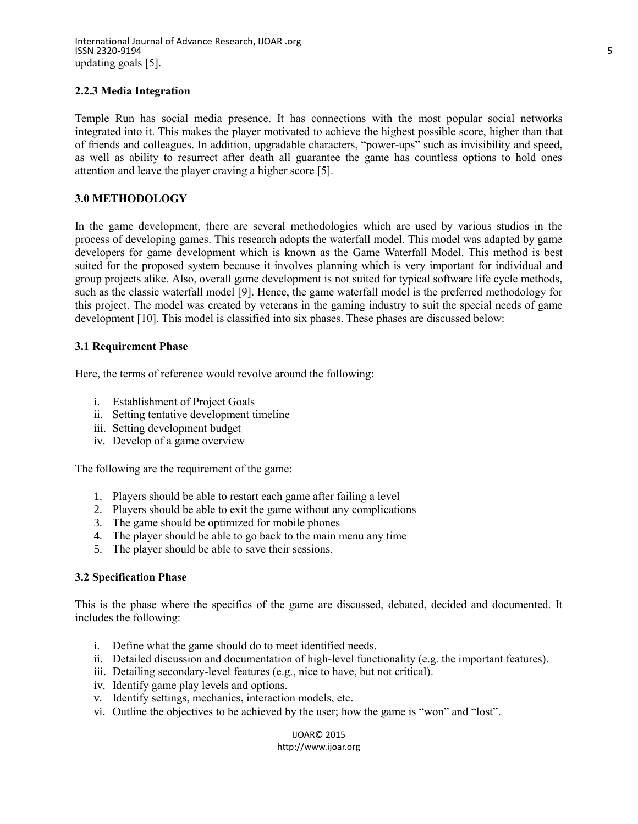International Journal of Advance Research, IJOAR .org ISSN 2320-9194 5 updating goals [5].

#### **2.2.3 Media Integration**

Temple Run has social media presence. It has connections with the most popular social networks integrated into it. This makes the player motivated to achieve the highest possible score, higher than that of friends and colleagues. In addition, upgradable characters, "power-ups" such as invisibility and speed, as well as ability to resurrect after death all guarantee the game has countless options to hold ones attention and leave the player craving a higher score [5].

#### **3.0 METHODOLOGY**

In the game development, there are several methodologies which are used by various studios in the process of developing games. This research adopts the waterfall model. This model was adapted by game developers for game development which is known as the Game Waterfall Model. This method is best suited for the proposed system because it involves planning which is very important for individual and group projects alike. Also, overall game development is not suited for typical software life cycle methods, such as the classic waterfall model [9]. Hence, the game waterfall model is the preferred methodology for this project. The model was created by veterans in the gaming industry to suit the special needs of game development [10]. This model is classified into six phases. These phases are discussed below:

#### **3.1 Requirement Phase**

Here, the terms of reference would revolve around the following:

- i. Establishment of Project Goals
- ii. Setting tentative development timeline
- iii. Setting development budget
- iv. Develop of a game overview

The following are the requirement of the game:

- 1. Players should be able to restart each game after failing a level
- 2. Players should be able to exit the game without any complications
- 3. The game should be optimized for mobile phones
- 4. The player should be able to go back to the main menu any time
- 5. The player should be able to save their sessions.

#### **3.2 Specification Phase**

This is the phase where the specifics of the game are discussed, debated, decided and documented. It includes the following:

- i. Define what the game should do to meet identified needs.
- ii. Detailed discussion and documentation of high-level functionality (e.g. the important features).
- iii. Detailing secondary-level features (e.g., nice to have, but not critical).
- iv. Identify game play levels and options.
- v. Identify settings, mechanics, interaction models, etc.
- vi. Outline the objectives to be achieved by the user; how the game is "won" and "lost".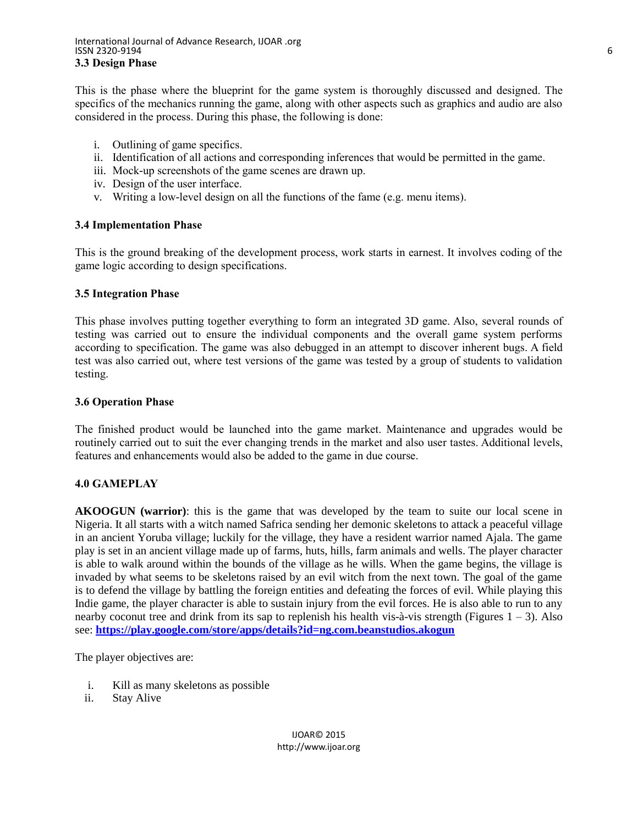This is the phase where the blueprint for the game system is thoroughly discussed and designed. The specifics of the mechanics running the game, along with other aspects such as graphics and audio are also considered in the process. During this phase, the following is done:

- i. Outlining of game specifics.
- ii. Identification of all actions and corresponding inferences that would be permitted in the game.
- iii. Mock-up screenshots of the game scenes are drawn up.
- iv. Design of the user interface.
- v. Writing a low-level design on all the functions of the fame (e.g. menu items).

#### **3.4 Implementation Phase**

This is the ground breaking of the development process, work starts in earnest. It involves coding of the game logic according to design specifications.

## **3.5 Integration Phase**

This phase involves putting together everything to form an integrated 3D game. Also, several rounds of testing was carried out to ensure the individual components and the overall game system performs according to specification. The game was also debugged in an attempt to discover inherent bugs. A field test was also carried out, where test versions of the game was tested by a group of students to validation testing.

#### **3.6 Operation Phase**

The finished product would be launched into the game market. Maintenance and upgrades would be routinely carried out to suit the ever changing trends in the market and also user tastes. Additional levels, features and enhancements would also be added to the game in due course.

## **4.0 GAMEPLAY**

**AKOOGUN (warrior)**: this is the game that was developed by the team to suite our local scene in Nigeria. It all starts with a witch named Safrica sending her demonic skeletons to attack a peaceful village in an ancient Yoruba village; luckily for the village, they have a resident warrior named Ajala. The game play is set in an ancient village made up of farms, huts, hills, farm animals and wells. The player character is able to walk around within the bounds of the village as he wills. When the game begins, the village is invaded by what seems to be skeletons raised by an evil witch from the next town. The goal of the game is to defend the village by battling the foreign entities and defeating the forces of evil. While playing this Indie game, the player character is able to sustain injury from the evil forces. He is also able to run to any nearby coconut tree and drink from its sap to replenish his health vis-à-vis strength (Figures 1 – 3). Also see: **<https://play.google.com/store/apps/details?id=ng.com.beanstudios.akogun>**

The player objectives are:

- i. Kill as many skeletons as possible
- ii. Stay Alive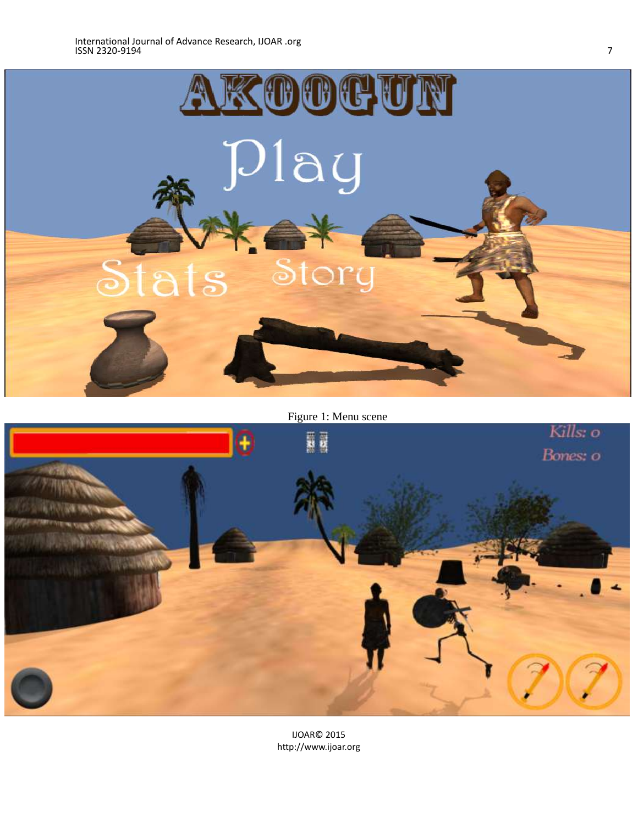

Figure 1: Menu scene

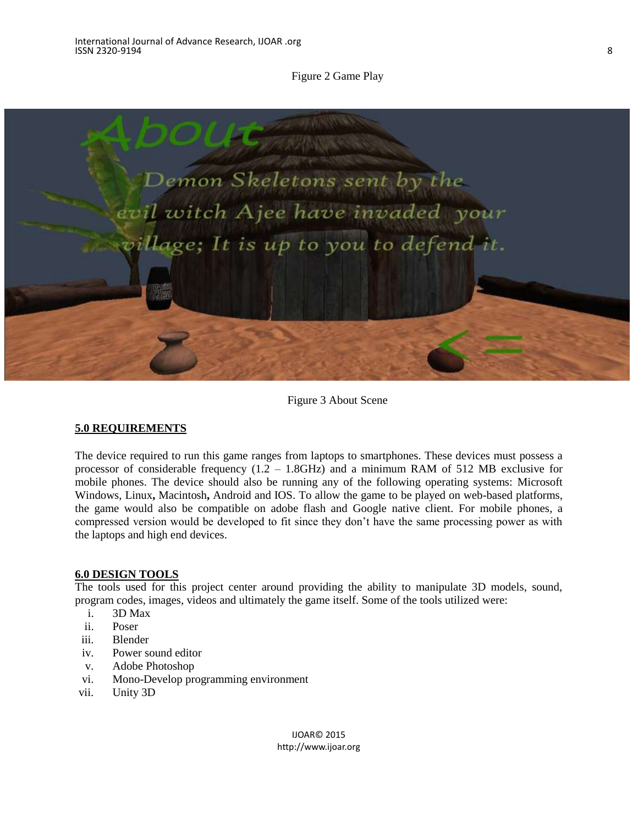Figure 2 Game Play



Figure 3 About Scene

#### **5.0 REQUIREMENTS**

The device required to run this game ranges from laptops to smartphones. These devices must possess a processor of considerable frequency (1.2 – 1.8GHz) and a minimum RAM of 512 MB exclusive for mobile phones. The device should also be running any of the following operating systems: Microsoft Windows, Linux**,** Macintosh**,** Android and IOS. To allow the game to be played on web-based platforms, the game would also be compatible on adobe flash and Google native client. For mobile phones, a compressed version would be developed to fit since they don't have the same processing power as with the laptops and high end devices.

#### **6.0 DESIGN TOOLS**

The tools used for this project center around providing the ability to manipulate 3D models, sound, program codes, images, videos and ultimately the game itself. Some of the tools utilized were:

- i. 3D Max
- ii. Poser
- iii. Blender
- iv. Power sound editor
- v. Adobe Photoshop
- vi. Mono-Develop programming environment
- vii. Unity 3D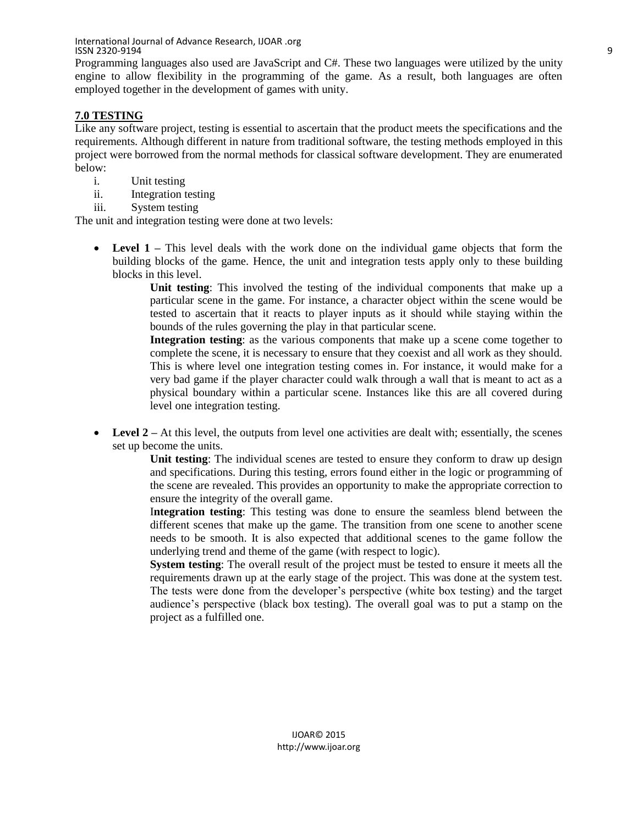International Journal of Advance Research, IJOAR .org ISSN 2320-9194 9

Programming languages also used are JavaScript and C#. These two languages were utilized by the unity engine to allow flexibility in the programming of the game. As a result, both languages are often employed together in the development of games with unity.

## **7.0 TESTING**

Like any software project, testing is essential to ascertain that the product meets the specifications and the requirements. Although different in nature from traditional software, the testing methods employed in this project were borrowed from the normal methods for classical software development. They are enumerated below:

- i. Unit testing
- ii. Integration testing
- iii. System testing

The unit and integration testing were done at two levels:

 **Level 1 –** This level deals with the work done on the individual game objects that form the building blocks of the game. Hence, the unit and integration tests apply only to these building blocks in this level.

**Unit testing**: This involved the testing of the individual components that make up a particular scene in the game. For instance, a character object within the scene would be tested to ascertain that it reacts to player inputs as it should while staying within the bounds of the rules governing the play in that particular scene.

**Integration testing**: as the various components that make up a scene come together to complete the scene, it is necessary to ensure that they coexist and all work as they should. This is where level one integration testing comes in. For instance, it would make for a very bad game if the player character could walk through a wall that is meant to act as a physical boundary within a particular scene. Instances like this are all covered during level one integration testing.

• Level 2 – At this level, the outputs from level one activities are dealt with; essentially, the scenes set up become the units.

**Unit testing**: The individual scenes are tested to ensure they conform to draw up design and specifications. During this testing, errors found either in the logic or programming of the scene are revealed. This provides an opportunity to make the appropriate correction to ensure the integrity of the overall game.

I**ntegration testing**: This testing was done to ensure the seamless blend between the different scenes that make up the game. The transition from one scene to another scene needs to be smooth. It is also expected that additional scenes to the game follow the underlying trend and theme of the game (with respect to logic).

**System testing**: The overall result of the project must be tested to ensure it meets all the requirements drawn up at the early stage of the project. This was done at the system test. The tests were done from the developer's perspective (white box testing) and the target audience's perspective (black box testing). The overall goal was to put a stamp on the project as a fulfilled one.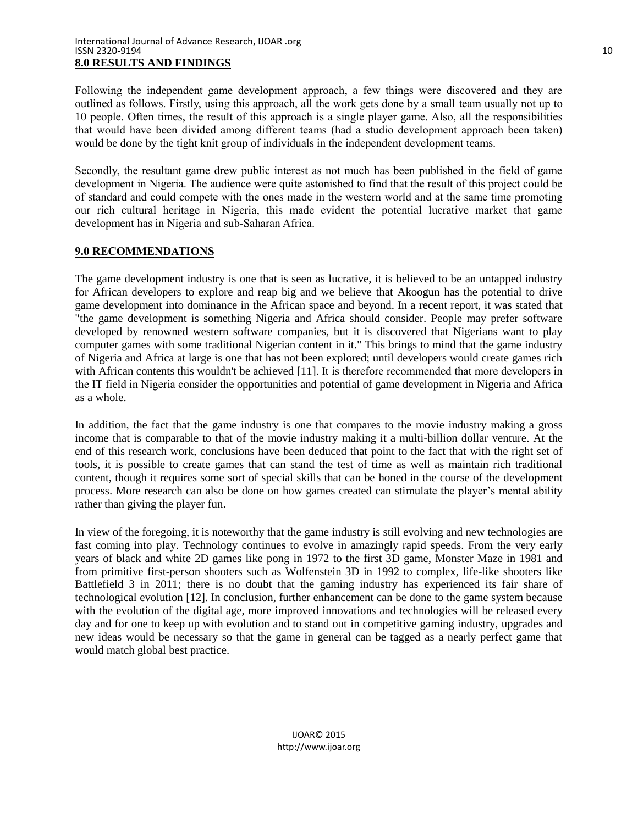Following the independent game development approach, a few things were discovered and they are outlined as follows. Firstly, using this approach, all the work gets done by a small team usually not up to 10 people. Often times, the result of this approach is a single player game. Also, all the responsibilities that would have been divided among different teams (had a studio development approach been taken) would be done by the tight knit group of individuals in the independent development teams.

Secondly, the resultant game drew public interest as not much has been published in the field of game development in Nigeria. The audience were quite astonished to find that the result of this project could be of standard and could compete with the ones made in the western world and at the same time promoting our rich cultural heritage in Nigeria, this made evident the potential lucrative market that game development has in Nigeria and sub-Saharan Africa.

## **9.0 RECOMMENDATIONS**

The game development industry is one that is seen as lucrative, it is believed to be an untapped industry for African developers to explore and reap big and we believe that Akoogun has the potential to drive game development into dominance in the African space and beyond. In a recent report, it was stated that "the game development is something Nigeria and Africa should consider. People may prefer software developed by renowned western software companies, but it is discovered that Nigerians want to play computer games with some traditional Nigerian content in it." This brings to mind that the game industry of Nigeria and Africa at large is one that has not been explored; until developers would create games rich with African contents this wouldn't be achieved [11]. It is therefore recommended that more developers in the IT field in Nigeria consider the opportunities and potential of game development in Nigeria and Africa as a whole.

In addition, the fact that the game industry is one that compares to the movie industry making a gross income that is comparable to that of the movie industry making it a multi-billion dollar venture. At the end of this research work, conclusions have been deduced that point to the fact that with the right set of tools, it is possible to create games that can stand the test of time as well as maintain rich traditional content, though it requires some sort of special skills that can be honed in the course of the development process. More research can also be done on how games created can stimulate the player's mental ability rather than giving the player fun.

In view of the foregoing, it is noteworthy that the game industry is still evolving and new technologies are fast coming into play. Technology continues to evolve in amazingly rapid speeds. From the very early years of black and white 2D games like pong in 1972 to the first 3D game, Monster Maze in 1981 and from primitive first-person shooters such as Wolfenstein 3D in 1992 to complex, life-like shooters like Battlefield 3 in 2011; there is no doubt that the gaming industry has experienced its fair share of technological evolution [12]. In conclusion, further enhancement can be done to the game system because with the evolution of the digital age, more improved innovations and technologies will be released every day and for one to keep up with evolution and to stand out in competitive gaming industry, upgrades and new ideas would be necessary so that the game in general can be tagged as a nearly perfect game that would match global best practice.